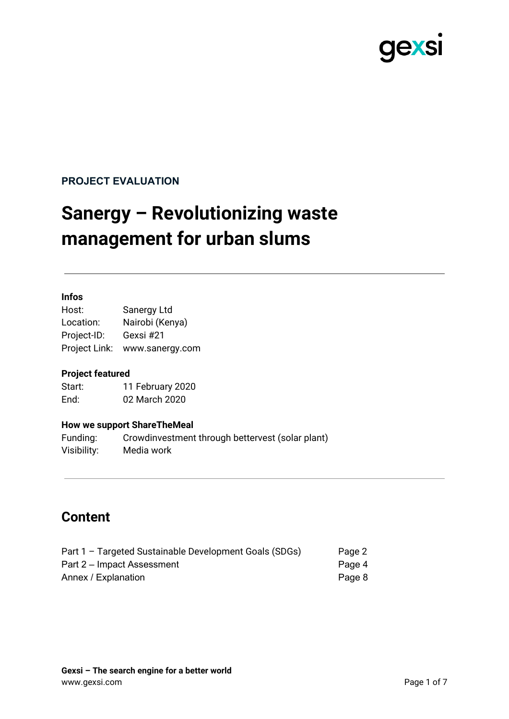

## **PROJECT EVALUATION**

# **Sanergy – Revolutionizing waste management for urban slums**

#### **Infos**

Host: Sanergy Ltd Location: Nairobi (Kenya) Project-ID: Gexsi #21 Project Link: www.sanergy.com

#### **Project featured**

Start: 11 February 2020 End: 02 March 2020

#### **How we support ShareTheMeal**

Funding: Crowdinvestment through bettervest (solar plant) Visibility: Media work

## **Content**

| Part 1 - Targeted Sustainable Development Goals (SDGs) | Page 2 |
|--------------------------------------------------------|--------|
| Part 2 – Impact Assessment                             | Page 4 |
| Annex / Explanation                                    | Page 8 |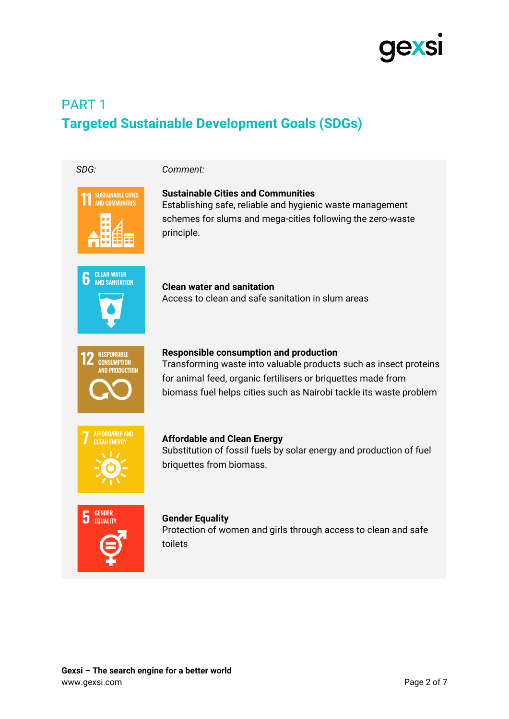

## PART 1 **Targeted Sustainable Development Goals (SDGs)**

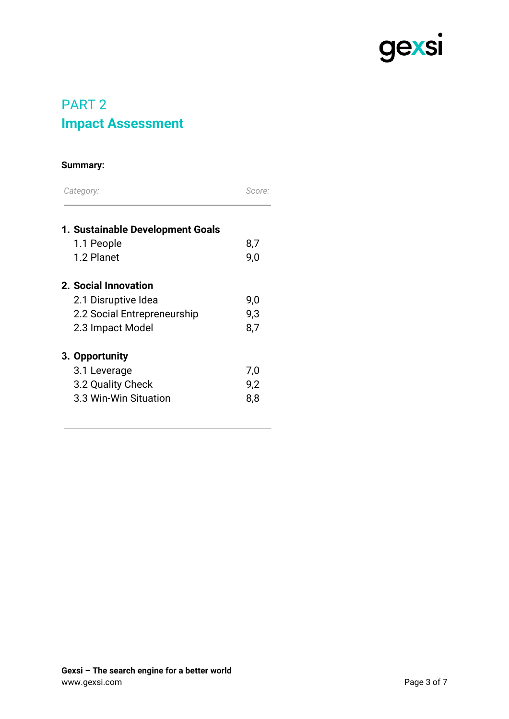

## PART 2 **Impact Assessment**

### **Summary:**

| Category: | Score:                           |     |
|-----------|----------------------------------|-----|
|           | 1. Sustainable Development Goals |     |
|           | 1.1 People                       | 8,7 |
|           | 1.2 Planet                       | 9,0 |
|           | 2. Social Innovation             |     |
|           | 2.1 Disruptive Idea              | 9,0 |
|           | 2.2 Social Entrepreneurship      | 9,3 |
|           | 2.3 Impact Model                 | 8,7 |
|           | 3. Opportunity                   |     |
|           | 3.1 Leverage                     | 7,0 |
|           | 3.2 Quality Check                | 9,2 |
|           | 3.3 Win-Win Situation            | 8,8 |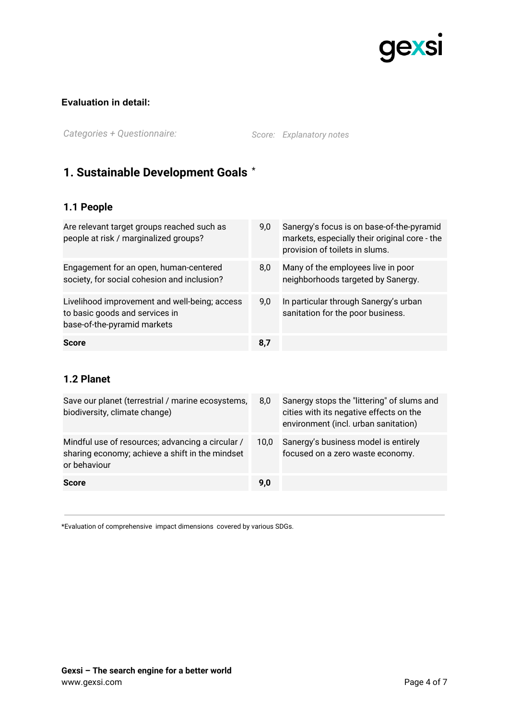

#### **Evaluation in detail:**

*Categories + Questionnaire: Score: Explanatory notes*

## **1. Sustainable Development Goals** \*

## **1.1 People**

| Are relevant target groups reached such as<br>people at risk / marginalized groups?                            | 9,0 | Sanergy's focus is on base-of-the-pyramid<br>markets, especially their original core - the<br>provision of toilets in slums. |
|----------------------------------------------------------------------------------------------------------------|-----|------------------------------------------------------------------------------------------------------------------------------|
| Engagement for an open, human-centered<br>society, for social cohesion and inclusion?                          | 8,0 | Many of the employees live in poor<br>neighborhoods targeted by Sanergy.                                                     |
| Livelihood improvement and well-being; access<br>to basic goods and services in<br>base-of-the-pyramid markets | 9,0 | In particular through Sanergy's urban<br>sanitation for the poor business.                                                   |
| <b>Score</b>                                                                                                   | 8,7 |                                                                                                                              |

## **1.2 Planet**

| Save our planet (terrestrial / marine ecosystems,<br>biodiversity, climate change)                                  | 8,0  | Sanergy stops the "littering" of slums and<br>cities with its negative effects on the<br>environment (incl. urban sanitation) |
|---------------------------------------------------------------------------------------------------------------------|------|-------------------------------------------------------------------------------------------------------------------------------|
| Mindful use of resources; advancing a circular /<br>sharing economy; achieve a shift in the mindset<br>or behaviour | 10.0 | Sanergy's business model is entirely<br>focused on a zero waste economy.                                                      |
| <b>Score</b>                                                                                                        | 9,0  |                                                                                                                               |

\*Evaluation of comprehensive impact dimensions covered by various SDGs.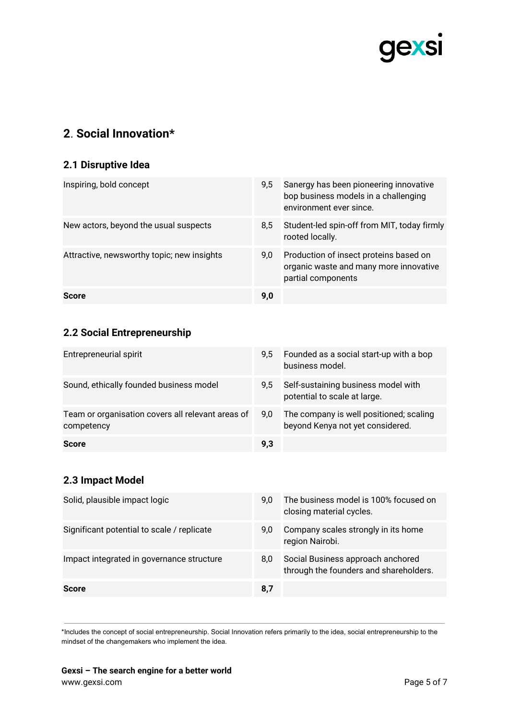

## **2**. **Social Innovation\***

### **2.1 Disruptive Idea**

| Inspiring, bold concept                    | 9,5 | Sanergy has been pioneering innovative<br>bop business models in a challenging<br>environment ever since. |
|--------------------------------------------|-----|-----------------------------------------------------------------------------------------------------------|
| New actors, beyond the usual suspects      | 8,5 | Student-led spin-off from MIT, today firmly<br>rooted locally.                                            |
| Attractive, newsworthy topic; new insights | 9,0 | Production of insect proteins based on<br>organic waste and many more innovative<br>partial components    |
| Score                                      | 9,0 |                                                                                                           |

## **2.2 Social Entrepreneurship**

| Entrepreneurial spirit                                          | $9.5^{\circ}$ | Founded as a social start-up with a bop<br>business model.                  |
|-----------------------------------------------------------------|---------------|-----------------------------------------------------------------------------|
| Sound, ethically founded business model                         | $9.5^{\circ}$ | Self-sustaining business model with<br>potential to scale at large.         |
| Team or organisation covers all relevant areas of<br>competency | 9.0           | The company is well positioned; scaling<br>beyond Kenya not yet considered. |
| <b>Score</b>                                                    | 9.3           |                                                                             |

## **2.3 Impact Model**

| Solid, plausible impact logic              | 9.0 | The business model is 100% focused on<br>closing material cycles.           |
|--------------------------------------------|-----|-----------------------------------------------------------------------------|
| Significant potential to scale / replicate | 9.0 | Company scales strongly in its home<br>region Nairobi.                      |
| Impact integrated in governance structure  | 8.0 | Social Business approach anchored<br>through the founders and shareholders. |
| <b>Score</b>                               | 8,7 |                                                                             |

\*Includes the concept of social entrepreneurship. Social Innovation refers primarily to the idea, social entrepreneurship to the mindset of the changemakers who implement the idea.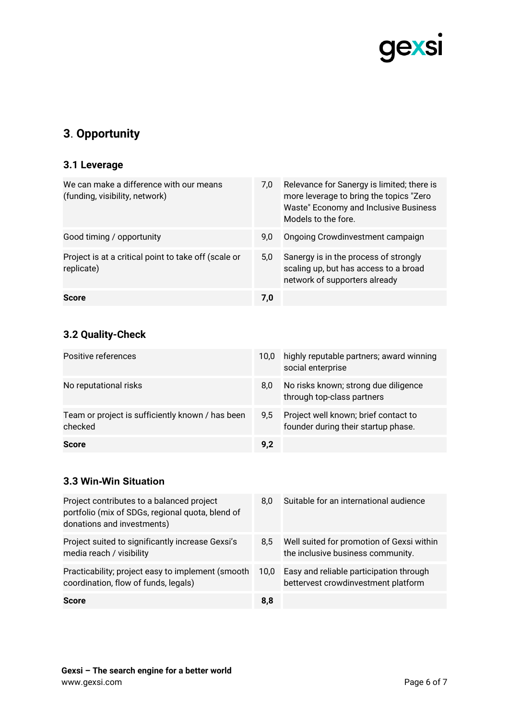

## **3**. **Opportunity**

### **3.1 Leverage**

| We can make a difference with our means<br>(funding, visibility, network) | 7,0 | Relevance for Sanergy is limited; there is<br>more leverage to bring the topics "Zero"<br>Waste" Economy and Inclusive Business<br>Models to the fore. |
|---------------------------------------------------------------------------|-----|--------------------------------------------------------------------------------------------------------------------------------------------------------|
| Good timing / opportunity                                                 | 9,0 | Ongoing Crowdinvestment campaign                                                                                                                       |
| Project is at a critical point to take off (scale or<br>replicate)        | 5.0 | Sanergy is in the process of strongly<br>scaling up, but has access to a broad<br>network of supporters already                                        |
| <b>Score</b>                                                              | 7,0 |                                                                                                                                                        |

## **3.2 Quality-Check**

| Positive references                                         | 10.0 | highly reputable partners; award winning<br>social enterprise               |
|-------------------------------------------------------------|------|-----------------------------------------------------------------------------|
| No reputational risks                                       | 8,0  | No risks known; strong due diligence<br>through top-class partners          |
| Team or project is sufficiently known / has been<br>checked | 9.5  | Project well known; brief contact to<br>founder during their startup phase. |
| <b>Score</b>                                                | 9.2  |                                                                             |

#### **3.3 Win-Win Situation**

| Project contributes to a balanced project<br>portfolio (mix of SDGs, regional quota, blend of<br>donations and investments) | 8.0               | Suitable for an international audience                                         |
|-----------------------------------------------------------------------------------------------------------------------------|-------------------|--------------------------------------------------------------------------------|
| Project suited to significantly increase Gexsi's<br>media reach / visibility                                                | 8.5               | Well suited for promotion of Gexsi within<br>the inclusive business community. |
| Practicability; project easy to implement (smooth<br>coordination, flow of funds, legals)                                   | 10.0 <sub>1</sub> | Easy and reliable participation through<br>bettervest crowdinvestment platform |
| <b>Score</b>                                                                                                                | 8,8               |                                                                                |